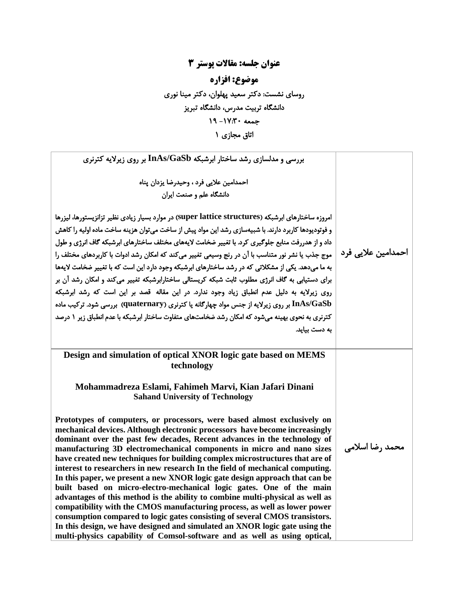## **عنوان جلسه: مقاالت پوستر 3 موضوع: افزاره**  روسای نشست: دکتر سعید پهلوان ، دکتر مینا نوری دانشگاه تربیت مدرس ، دانشگاه تبریز جمعه -17:30 19 اتاق مجازی 1

| بررسی و مدلسازی رشد ساختار ابرشبکه InAs/GaSb بر روی زیرلایه کترنری                                                                                                                                                                                                                                                                                                                                                                                                                                                                                                                                                                                                                                                                                                                                                                                                                                                                                                                                                                            |                    |
|-----------------------------------------------------------------------------------------------------------------------------------------------------------------------------------------------------------------------------------------------------------------------------------------------------------------------------------------------------------------------------------------------------------------------------------------------------------------------------------------------------------------------------------------------------------------------------------------------------------------------------------------------------------------------------------------------------------------------------------------------------------------------------------------------------------------------------------------------------------------------------------------------------------------------------------------------------------------------------------------------------------------------------------------------|--------------------|
| احمدامين علايي فرد ، وحيدرضا يزدان پناه                                                                                                                                                                                                                                                                                                                                                                                                                                                                                                                                                                                                                                                                                                                                                                                                                                                                                                                                                                                                       |                    |
| دانشگاه علم و صنعت ایران                                                                                                                                                                                                                                                                                                                                                                                                                                                                                                                                                                                                                                                                                                                                                                                                                                                                                                                                                                                                                      |                    |
| امروزه ساختارهای ابرشبکه (super lattice structures) در موارد بسیار زیادی نظیر تزانزیستورها، لیزرها<br>و فوتودیودها کاربرد دارند. با شبیهسازی رشد این مواد پیش از ساخت می توان هزینه ساخت ماده اولیه را کاهش<br>داد و از هدررفت منابع جلوگیری کرد. با تغییر ضخامت لایههای مختلف ساختارهای ابرشبکه گاف انرژی و طول<br>موج جذب یا نشر نور متناسب با آن در رنج وسیعی تغییر می⁄کند که امکان رشد ادوات با کاربردهای مختلف را<br>به ما میدهد. یکی از مشکلاتی که در رشد ساختارهای ابرشبکه وجود دارد این است که با تغییر ضخامت لایهها<br>برای دستیابی به گاف انرژی مطلوب ثابت شبکه کریستالی ساختارابرشبکه تغییر می کند و امکان رشد آن بر<br>روی زیرلایه به دلیل عدم انطباق زیاد وجود ندارد. در این مقاله قصد بر این است که رشد ابرشبکه<br>InAs/GaSb بر روی زیرلایه از جنس مواد چهارگانه یا کترنری (quaternary) بررسی شود. ترکیب ماده<br>کترنری به نحوی بهینه می شود که امکان رشد ضخامتهای متفاوت ساختار ابرشبکه با عدم انطباق زیر ۱ درصد<br>به دست بیاید.                                                                                              | احمدامین علایی فرد |
| Design and simulation of optical XNOR logic gate based on MEMS<br>technology                                                                                                                                                                                                                                                                                                                                                                                                                                                                                                                                                                                                                                                                                                                                                                                                                                                                                                                                                                  |                    |
| Mohammadreza Eslami, Fahimeh Marvi, Kian Jafari Dinani<br><b>Sahand University of Technology</b>                                                                                                                                                                                                                                                                                                                                                                                                                                                                                                                                                                                                                                                                                                                                                                                                                                                                                                                                              |                    |
| Prototypes of computers, or processors, were based almost exclusively on<br>mechanical devices. Although electronic processors have become increasingly<br>dominant over the past few decades, Recent advances in the technology of<br>manufacturing 3D electromechanical components in micro and nano sizes<br>have created new techniques for building complex microstructures that are of<br>interest to researchers in new research In the field of mechanical computing.<br>In this paper, we present a new XNOR logic gate design approach that can be<br>built based on micro-electro-mechanical logic gates. One of the main<br>advantages of this method is the ability to combine multi-physical as well as<br>compatibility with the CMOS manufacturing process, as well as lower power<br>consumption compared to logic gates consisting of several CMOS transistors.<br>In this design, we have designed and simulated an XNOR logic gate using the<br>multi-physics capability of Comsol-software and as well as using optical, | محمد رضا اسلامی    |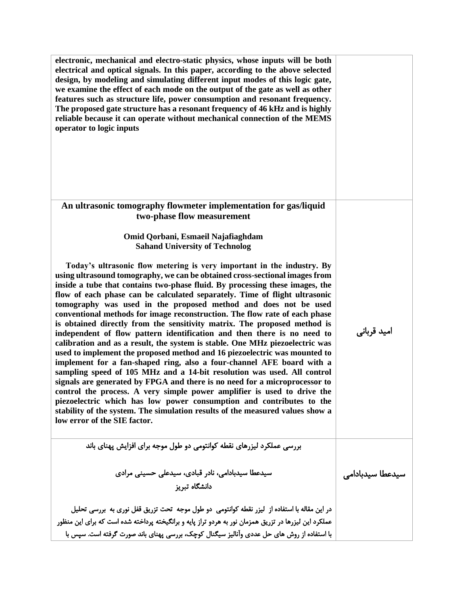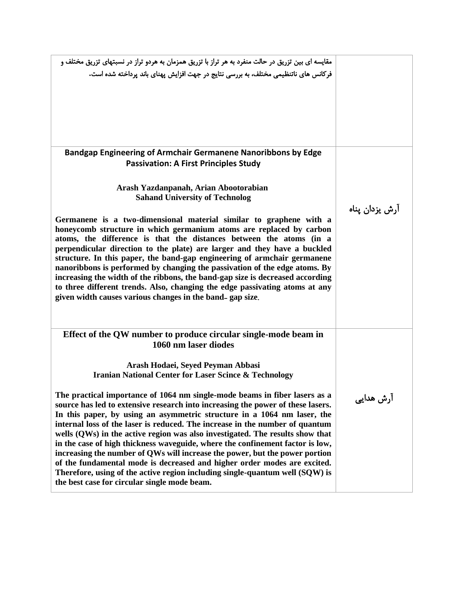| مقایسه ای بین تزریق در حالت منفرد به هر تراز با تزریق همزمان به هردو تراز در نسبتهای تزریق مختلف و<br>فرکانس های ناتنظیمی مختلف، به بررسی نتایج در جهت افزایش پهنای باند پرداخته شده است.                                                                                                                                                                                                                                                                                                                                                                                                                                                                                                                                                                                                                                                                 |                |
|-----------------------------------------------------------------------------------------------------------------------------------------------------------------------------------------------------------------------------------------------------------------------------------------------------------------------------------------------------------------------------------------------------------------------------------------------------------------------------------------------------------------------------------------------------------------------------------------------------------------------------------------------------------------------------------------------------------------------------------------------------------------------------------------------------------------------------------------------------------|----------------|
| Bandgap Engineering of Armchair Germanene Nanoribbons by Edge<br><b>Passivation: A First Principles Study</b>                                                                                                                                                                                                                                                                                                                                                                                                                                                                                                                                                                                                                                                                                                                                             |                |
| Arash Yazdanpanah, Arian Abootorabian<br><b>Sahand University of Technolog</b>                                                                                                                                                                                                                                                                                                                                                                                                                                                                                                                                                                                                                                                                                                                                                                            | آرش يزدان يناه |
| Germanene is a two-dimensional material similar to graphene with a<br>honeycomb structure in which germanium atoms are replaced by carbon<br>atoms, the difference is that the distances between the atoms (in a<br>perpendicular direction to the plate) are larger and they have a buckled<br>structure. In this paper, the band-gap engineering of armchair germanene<br>nanoribbons is performed by changing the passivation of the edge atoms. By<br>increasing the width of the ribbons, the band-gap size is decreased according<br>to three different trends. Also, changing the edge passivating atoms at any<br>given width causes various changes in the band-gap size.                                                                                                                                                                        |                |
| Effect of the QW number to produce circular single-mode beam in<br>1060 nm laser diodes<br>Arash Hodaei, Seyed Peyman Abbasi                                                                                                                                                                                                                                                                                                                                                                                                                                                                                                                                                                                                                                                                                                                              |                |
| <b>Iranian National Center for Laser Scince &amp; Technology</b><br>The practical importance of 1064 nm single-mode beams in fiber lasers as a<br>source has led to extensive research into increasing the power of these lasers.<br>In this paper, by using an asymmetric structure in a 1064 nm laser, the<br>internal loss of the laser is reduced. The increase in the number of quantum<br>wells (QWs) in the active region was also investigated. The results show that<br>in the case of high thickness waveguide, where the confinement factor is low,<br>increasing the number of QWs will increase the power, but the power portion<br>of the fundamental mode is decreased and higher order modes are excited.<br>Therefore, using of the active region including single-quantum well (SQW) is<br>the best case for circular single mode beam. | آرش هدایی      |